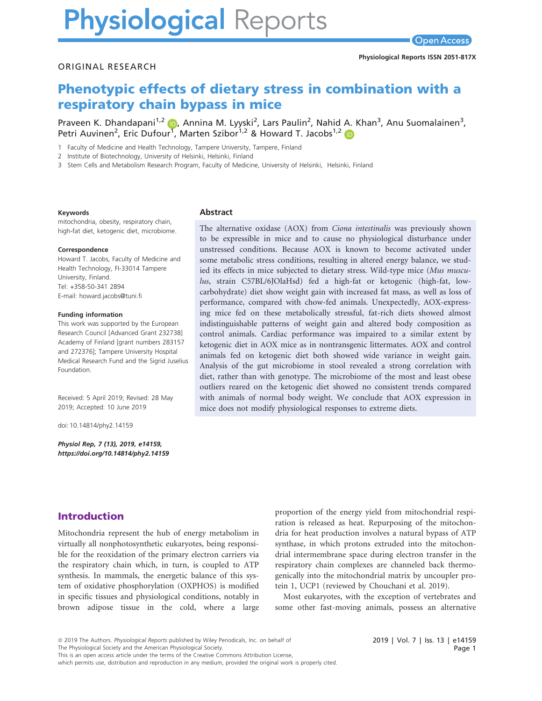# **Physiological Reports**

#### ORIGINAL RESEARCH

# Phenotypic effects of dietary stress in combination with a respiratory chain bypass in mice

Praveen K. Dhandapani<sup>1,[2](https://orcid.org/0000-0002-3486-4355)</sup> (D), Annina M. Lyyski<sup>2</sup>, Lars Paulin<sup>2</sup>, Nahid A. Khan<sup>3</sup>, Anu Suomalainen<sup>3</sup>, Petri Auvinen<sup>2</sup>, Eric Dufour<sup>[1](https://orcid.org/0000-0002-3486-4355)</sup>, Marten Szibor<sup>1,[2](https://orcid.org/0000-0003-1895-6003)</sup> & Howard T. Jacobs<sup>1,2</sup>

1 Faculty of Medicine and Health Technology, Tampere University, Tampere, Finland

2 Institute of Biotechnology, University of Helsinki, Helsinki, Finland

3 Stem Cells and Metabolism Research Program, Faculty of Medicine, University of Helsinki, Helsinki, Finland

#### Keywords

mitochondria, obesity, respiratory chain, high-fat diet, ketogenic diet, microbiome.

#### Correspondence

Howard T. Jacobs, Faculty of Medicine and Health Technology, FI-33014 Tampere University, Finland. Tel: +358-50-341 2894 E-mail: [howard.jacobs@tuni.fi](mailto:)

#### Funding information

This work was supported by the European Research Council [Advanced Grant 232738] Academy of Finland [grant numbers 283157 and 272376]; Tampere University Hospital Medical Research Fund and the Sigrid Juselius Foundation.

Received: 5 April 2019; Revised: 28 May 2019; Accepted: 10 June 2019

doi: 10.14814/phy2.14159

Physiol Rep, 7 (13), 2019, e14159, <https://doi.org/10.14814/phy2.14159>

#### Abstract

The alternative oxidase (AOX) from Ciona intestinalis was previously shown to be expressible in mice and to cause no physiological disturbance under unstressed conditions. Because AOX is known to become activated under some metabolic stress conditions, resulting in altered energy balance, we studied its effects in mice subjected to dietary stress. Wild-type mice (Mus musculus, strain C57BL/6JOlaHsd) fed a high-fat or ketogenic (high-fat, lowcarbohydrate) diet show weight gain with increased fat mass, as well as loss of performance, compared with chow-fed animals. Unexpectedly, AOX-expressing mice fed on these metabolically stressful, fat-rich diets showed almost indistinguishable patterns of weight gain and altered body composition as control animals. Cardiac performance was impaired to a similar extent by ketogenic diet in AOX mice as in nontransgenic littermates. AOX and control animals fed on ketogenic diet both showed wide variance in weight gain. Analysis of the gut microbiome in stool revealed a strong correlation with diet, rather than with genotype. The microbiome of the most and least obese outliers reared on the ketogenic diet showed no consistent trends compared with animals of normal body weight. We conclude that AOX expression in mice does not modify physiological responses to extreme diets.

### Introduction

Mitochondria represent the hub of energy metabolism in virtually all nonphotosynthetic eukaryotes, being responsible for the reoxidation of the primary electron carriers via the respiratory chain which, in turn, is coupled to ATP synthesis. In mammals, the energetic balance of this system of oxidative phosphorylation (OXPHOS) is modified in specific tissues and physiological conditions, notably in brown adipose tissue in the cold, where a large

proportion of the energy yield from mitochondrial respiration is released as heat. Repurposing of the mitochondria for heat production involves a natural bypass of ATP synthase, in which protons extruded into the mitochondrial intermembrane space during electron transfer in the respiratory chain complexes are channeled back thermogenically into the mitochondrial matrix by uncoupler protein 1, UCP1 (reviewed by Chouchani et al. 2019).

Most eukaryotes, with the exception of vertebrates and some other fast-moving animals, possess an alternative

The Physiological Society and the American Physiological Society.

which permits use, distribution and reproduction in any medium, provided the original work is properly cited.

<sup>ª</sup> 2019 The Authors. Physiological Reports published by Wiley Periodicals, Inc. on behalf of

This is an open access article under the terms of the [Creative Commons Attribution](http://creativecommons.org/licenses/by/4.0/) License,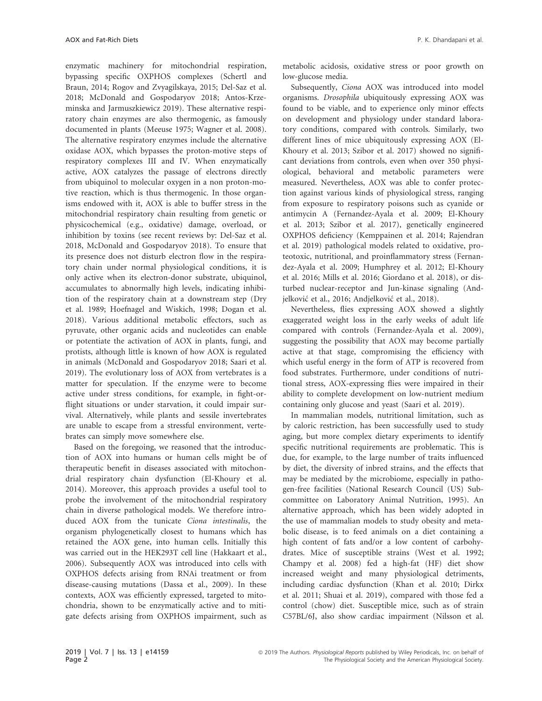enzymatic machinery for mitochondrial respiration, bypassing specific OXPHOS complexes (Schertl and Braun, 2014; Rogov and Zvyagilskaya, 2015; Del-Saz et al. 2018; McDonald and Gospodaryov 2018; Antos-Krzeminska and Jarmuszkiewicz 2019). These alternative respiratory chain enzymes are also thermogenic, as famously documented in plants (Meeuse 1975; Wagner et al. 2008). The alternative respiratory enzymes include the alternative oxidase AOX, which bypasses the proton-motive steps of respiratory complexes III and IV. When enzymatically active, AOX catalyzes the passage of electrons directly from ubiquinol to molecular oxygen in a non proton-motive reaction, which is thus thermogenic. In those organisms endowed with it, AOX is able to buffer stress in the mitochondrial respiratory chain resulting from genetic or physicochemical (e.g., oxidative) damage, overload, or inhibition by toxins (see recent reviews by: Del-Saz et al. 2018, McDonald and Gospodaryov 2018). To ensure that its presence does not disturb electron flow in the respiratory chain under normal physiological conditions, it is only active when its electron-donor substrate, ubiquinol, accumulates to abnormally high levels, indicating inhibition of the respiratory chain at a downstream step (Dry et al. 1989; Hoefnagel and Wiskich, 1998; Dogan et al. 2018). Various additional metabolic effectors, such as pyruvate, other organic acids and nucleotides can enable or potentiate the activation of AOX in plants, fungi, and protists, although little is known of how AOX is regulated in animals (McDonald and Gospodaryov 2018; Saari et al. 2019). The evolutionary loss of AOX from vertebrates is a matter for speculation. If the enzyme were to become active under stress conditions, for example, in fight-orflight situations or under starvation, it could impair survival. Alternatively, while plants and sessile invertebrates are unable to escape from a stressful environment, vertebrates can simply move somewhere else.

Based on the foregoing, we reasoned that the introduction of AOX into humans or human cells might be of therapeutic benefit in diseases associated with mitochondrial respiratory chain dysfunction (El-Khoury et al. 2014). Moreover, this approach provides a useful tool to probe the involvement of the mitochondrial respiratory chain in diverse pathological models. We therefore introduced AOX from the tunicate Ciona intestinalis, the organism phylogenetically closest to humans which has retained the AOX gene, into human cells. Initially this was carried out in the HEK293T cell line (Hakkaart et al., 2006). Subsequently AOX was introduced into cells with OXPHOS defects arising from RNAi treatment or from disease-causing mutations (Dassa et al., 2009). In these contexts, AOX was efficiently expressed, targeted to mitochondria, shown to be enzymatically active and to mitigate defects arising from OXPHOS impairment, such as metabolic acidosis, oxidative stress or poor growth on low-glucose media.

Subsequently, Ciona AOX was introduced into model organisms. Drosophila ubiquitously expressing AOX was found to be viable, and to experience only minor effects on development and physiology under standard laboratory conditions, compared with controls. Similarly, two different lines of mice ubiquitously expressing AOX (El-Khoury et al. 2013; Szibor et al. 2017) showed no significant deviations from controls, even when over 350 physiological, behavioral and metabolic parameters were measured. Nevertheless, AOX was able to confer protection against various kinds of physiological stress, ranging from exposure to respiratory poisons such as cyanide or antimycin A (Fernandez-Ayala et al. 2009; El-Khoury et al. 2013; Szibor et al. 2017), genetically engineered OXPHOS deficiency (Kemppainen et al. 2014; Rajendran et al. 2019) pathological models related to oxidative, proteotoxic, nutritional, and proinflammatory stress (Fernandez-Ayala et al. 2009; Humphrey et al. 2012; El-Khoury et al. 2016; Mills et al. 2016; Giordano et al. 2018), or disturbed nuclear-receptor and Jun-kinase signaling (Andjelković et al., 2016; Andjelković et al., 2018).

Nevertheless, flies expressing AOX showed a slightly exaggerated weight loss in the early weeks of adult life compared with controls (Fernandez-Ayala et al. 2009), suggesting the possibility that AOX may become partially active at that stage, compromising the efficiency with which useful energy in the form of ATP is recovered from food substrates. Furthermore, under conditions of nutritional stress, AOX-expressing flies were impaired in their ability to complete development on low-nutrient medium containing only glucose and yeast (Saari et al. 2019).

In mammalian models, nutritional limitation, such as by caloric restriction, has been successfully used to study aging, but more complex dietary experiments to identify specific nutritional requirements are problematic. This is due, for example, to the large number of traits influenced by diet, the diversity of inbred strains, and the effects that may be mediated by the microbiome, especially in pathogen-free facilities (National Research Council (US) Subcommittee on Laboratory Animal Nutrition, 1995). An alternative approach, which has been widely adopted in the use of mammalian models to study obesity and metabolic disease, is to feed animals on a diet containing a high content of fats and/or a low content of carbohydrates. Mice of susceptible strains (West et al. 1992; Champy et al. 2008) fed a high-fat (HF) diet show increased weight and many physiological detriments, including cardiac dysfunction (Khan et al. 2010; Dirkx et al. 2011; Shuai et al. 2019), compared with those fed a control (chow) diet. Susceptible mice, such as of strain C57BL/6J, also show cardiac impairment (Nilsson et al.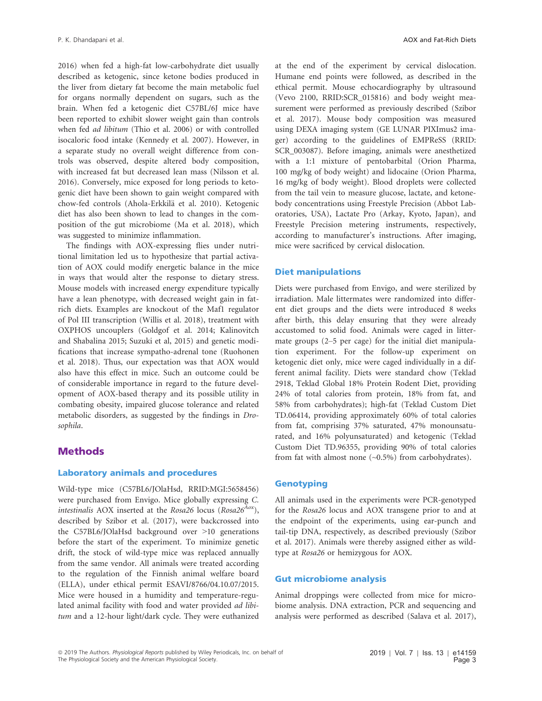2016) when fed a high-fat low-carbohydrate diet usually described as ketogenic, since ketone bodies produced in the liver from dietary fat become the main metabolic fuel for organs normally dependent on sugars, such as the brain. When fed a ketogenic diet C57BL/6J mice have been reported to exhibit slower weight gain than controls when fed ad libitum (Thio et al. 2006) or with controlled isocaloric food intake (Kennedy et al. 2007). However, in a separate study no overall weight difference from controls was observed, despite altered body composition, with increased fat but decreased lean mass (Nilsson et al. 2016). Conversely, mice exposed for long periods to ketogenic diet have been shown to gain weight compared with chow-fed controls (Ahola-Erkkilä et al. 2010). Ketogenic diet has also been shown to lead to changes in the composition of the gut microbiome (Ma et al. 2018), which was suggested to minimize inflammation.

The findings with AOX-expressing flies under nutritional limitation led us to hypothesize that partial activation of AOX could modify energetic balance in the mice in ways that would alter the response to dietary stress. Mouse models with increased energy expenditure typically have a lean phenotype, with decreased weight gain in fatrich diets. Examples are knockout of the Maf1 regulator of Pol III transcription (Willis et al. 2018), treatment with OXPHOS uncouplers (Goldgof et al. 2014; Kalinovitch and Shabalina 2015; Suzuki et al, 2015) and genetic modifications that increase sympatho-adrenal tone (Ruohonen et al. 2018). Thus, our expectation was that AOX would also have this effect in mice. Such an outcome could be of considerable importance in regard to the future development of AOX-based therapy and its possible utility in combating obesity, impaired glucose tolerance and related metabolic disorders, as suggested by the findings in Drosophila.

#### Methods

#### Laboratory animals and procedures

Wild-type mice (C57BL6/JOlaHsd, [RRID:MGI](info:x-wiley/rrid/RRID:SCR_000432):5658456) were purchased from Envigo. Mice globally expressing C. intestinalis AOX inserted at the Rosa26 locus (Rosa26<sup>Aox</sup>), described by Szibor et al. (2017), were backcrossed into the C57BL6/JOlaHsd background over >10 generations before the start of the experiment. To minimize genetic drift, the stock of wild-type mice was replaced annually from the same vendor. All animals were treated according to the regulation of the Finnish animal welfare board (ELLA), under ethical permit ESAVI/8766/04.10.07/2015. Mice were housed in a humidity and temperature-regulated animal facility with food and water provided ad libitum and a 12-hour light/dark cycle. They were euthanized at the end of the experiment by cervical dislocation. Humane end points were followed, as described in the ethical permit. Mouse echocardiography by ultrasound (Vevo 2100, [RRID:SCR\\_015816\)](info:x-wiley/rrid/RRID:SCR_000432) and body weight measurement were performed as previously described (Szibor et al. 2017). Mouse body composition was measured using DEXA imaging system (GE LUNAR PIXImus2 imager) according to the guidelines of EMPReSS ([RRID:](info:x-wiley/rrid/RRID:SCR_000432) [SCR\\_003087](info:x-wiley/rrid/RRID:SCR_000432)). Before imaging, animals were anesthetized with a 1:1 mixture of pentobarbital (Orion Pharma, 100 mg/kg of body weight) and lidocaine (Orion Pharma, 16 mg/kg of body weight). Blood droplets were collected from the tail vein to measure glucose, lactate, and ketonebody concentrations using Freestyle Precision (Abbot Laboratories, USA), Lactate Pro (Arkay, Kyoto, Japan), and Freestyle Precision metering instruments, respectively, according to manufacturer's instructions. After imaging, mice were sacrificed by cervical dislocation.

#### Diet manipulations

Diets were purchased from Envigo, and were sterilized by irradiation. Male littermates were randomized into different diet groups and the diets were introduced 8 weeks after birth, this delay ensuring that they were already accustomed to solid food. Animals were caged in littermate groups (2–5 per cage) for the initial diet manipulation experiment. For the follow-up experiment on ketogenic diet only, mice were caged individually in a different animal facility. Diets were standard chow (Teklad 2918, Teklad Global 18% Protein Rodent Diet, providing 24% of total calories from protein, 18% from fat, and 58% from carbohydrates); high-fat (Teklad Custom Diet TD.06414, providing approximately 60% of total calories from fat, comprising 37% saturated, 47% monounsaturated, and 16% polyunsaturated) and ketogenic (Teklad Custom Diet TD.96355, providing 90% of total calories from fat with almost none  $(\sim 0.5\%)$  from carbohydrates).

#### Genotyping

All animals used in the experiments were PCR-genotyped for the Rosa26 locus and AOX transgene prior to and at the endpoint of the experiments, using ear-punch and tail-tip DNA, respectively, as described previously (Szibor et al. 2017). Animals were thereby assigned either as wildtype at Rosa26 or hemizygous for AOX.

#### Gut microbiome analysis

Animal droppings were collected from mice for microbiome analysis. DNA extraction, PCR and sequencing and analysis were performed as described (Salava et al. 2017),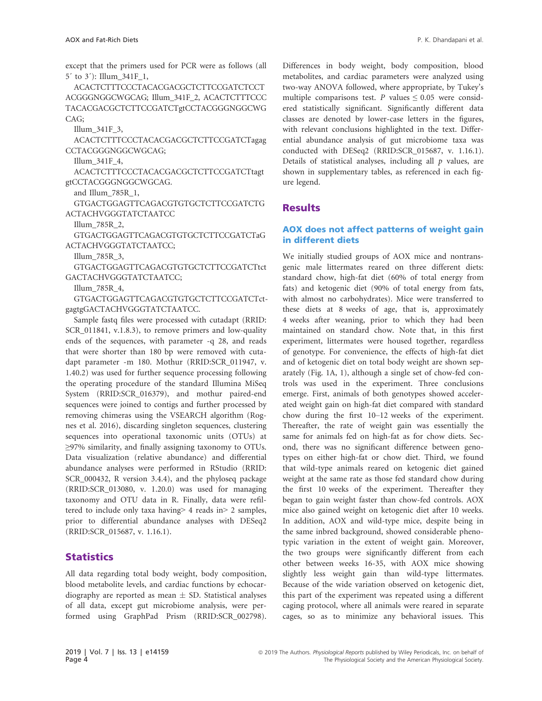except that the primers used for PCR were as follows (all 5´ to 3´): Illum\_341F\_1,

ACACTCTTTCCCTACACGACGCTCTTCCGATCTCCT ACGGGNGGCWGCAG; Illum\_341F\_2, ACACTCTTTCCC TACACGACGCTCTTCCGATCTgtCCTACGGGNGGCWG CAG;

Illum\_341F\_3,

ACACTCTTTCCCTACACGACGCTCTTCCGATCTagag CCTACGGGNGGCWGCAG;

Illum\_341F\_4,

ACACTCTTTCCCTACACGACGCTCTTCCGATCTtagt gtCCTACGGGNGGCWGCAG.

and Illum\_785R\_1,

GTGACTGGAGTTCAGACGTGTGCTCTTCCGATCTG ACTACHVGGGTATCTAATCC

Illum\_785R\_2,

GTGACTGGAGTTCAGACGTGTGCTCTTCCGATCTaG ACTACHVGGGTATCTAATCC;

Illum\_785R\_3,

GTGACTGGAGTTCAGACGTGTGCTCTTCCGATCTtct GACTACHVGGGTATCTAATCC;

Illum\_785R\_4,

GTGACTGGAGTTCAGACGTGTGCTCTTCCGATCTctgagtgGACTACHVGGGTATCTAATCC.

Sample fastq files were processed with cutadapt [\(RRID:](info:x-wiley/rrid/RRID:SCR_000432) [SCR\\_011841,](info:x-wiley/rrid/RRID:SCR_000432) v.1.8.3), to remove primers and low-quality ends of the sequences, with parameter -q 28, and reads that were shorter than 180 bp were removed with cutadapt parameter -m 180. Mothur ([RRID:SCR\\_011947](info:x-wiley/rrid/RRID:SCR_013080), v. 1.40.2) was used for further sequence processing following the operating procedure of the standard Illumina MiSeq System ([RRID:SCR\\_016379](info:x-wiley/rrid/RRID:SCR_015687)), and mothur paired-end sequences were joined to contigs and further processed by removing chimeras using the VSEARCH algorithm (Rognes et al. 2016), discarding singleton sequences, clustering sequences into operational taxonomic units (OTUs) at ≥97% similarity, and finally assigning taxonomy to OTUs. Data visualization (relative abundance) and differential abundance analyses were performed in RStudio [\(RRID:](info:x-wiley/rrid/RRID:SCR_000432) [SCR\\_000432,](info:x-wiley/rrid/RRID:SCR_000432) R version 3.4.4), and the phyloseq package ([RRID:SCR\\_013080](info:x-wiley/rrid/RRID:SCR_013080), v. 1.20.0) was used for managing taxonomy and OTU data in R. Finally, data were refiltered to include only taxa having> 4 reads in> 2 samples, prior to differential abundance analyses with DESeq2 ([RRID:SCR\\_015687](info:x-wiley/rrid/RRID:SCR_015687), v. 1.16.1).

#### **Statistics**

All data regarding total body weight, body composition, blood metabolite levels, and cardiac functions by echocardiography are reported as mean  $\pm$  SD. Statistical analyses of all data, except gut microbiome analysis, were performed using GraphPad Prism ([RRID:SCR\\_002798](info:x-wiley/rrid/RRID:SCR_002798)). Differences in body weight, body composition, blood metabolites, and cardiac parameters were analyzed using two-way ANOVA followed, where appropriate, by Tukey's multiple comparisons test. P values  $\leq 0.05$  were considered statistically significant. Significantly different data classes are denoted by lower-case letters in the figures, with relevant conclusions highlighted in the text. Differential abundance analysis of gut microbiome taxa was conducted with DESeq2 ([RRID:SCR\\_015687,](info:x-wiley/rrid/RRID:SCR_015687) v. 1.16.1). Details of statistical analyses, including all  $p$  values, are shown in supplementary tables, as referenced in each figure legend.

#### Results

#### AOX does not affect patterns of weight gain in different diets

We initially studied groups of AOX mice and nontransgenic male littermates reared on three different diets: standard chow, high-fat diet (60% of total energy from fats) and ketogenic diet (90% of total energy from fats, with almost no carbohydrates). Mice were transferred to these diets at 8 weeks of age, that is, approximately 4 weeks after weaning, prior to which they had been maintained on standard chow. Note that, in this first experiment, littermates were housed together, regardless of genotype. For convenience, the effects of high-fat diet and of ketogenic diet on total body weight are shown separately (Fig. 1A, 1), although a single set of chow-fed controls was used in the experiment. Three conclusions emerge. First, animals of both genotypes showed accelerated weight gain on high-fat diet compared with standard chow during the first 10–12 weeks of the experiment. Thereafter, the rate of weight gain was essentially the same for animals fed on high-fat as for chow diets. Second, there was no significant difference between genotypes on either high-fat or chow diet. Third, we found that wild-type animals reared on ketogenic diet gained weight at the same rate as those fed standard chow during the first 10 weeks of the experiment. Thereafter they began to gain weight faster than chow-fed controls. AOX mice also gained weight on ketogenic diet after 10 weeks. In addition, AOX and wild-type mice, despite being in the same inbred background, showed considerable phenotypic variation in the extent of weight gain. Moreover, the two groups were significantly different from each other between weeks 16-35, with AOX mice showing slightly less weight gain than wild-type littermates. Because of the wide variation observed on ketogenic diet, this part of the experiment was repeated using a different caging protocol, where all animals were reared in separate cages, so as to minimize any behavioral issues. This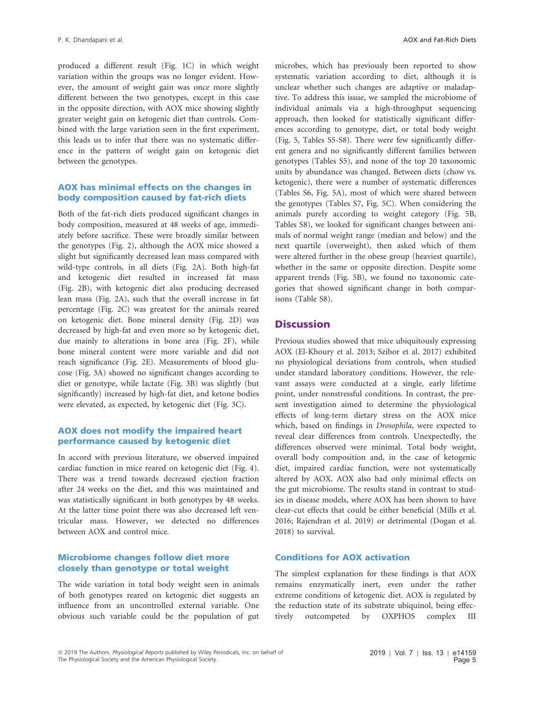produced a different result (Fig. 1C) in which weight variation within the groups was no longer evident. However, the amount of weight gain was once more slightly different between the two genotypes, except in this case in the opposite direction, with AOX mice showing slightly greater weight gain on ketogenic diet than controls. Combined with the large variation seen in the first experiment, this leads us to infer that there was no systematic difference in the pattern of weight gain on ketogenic diet between the genotypes.

#### AOX has minimal effects on the changes in body composition caused by fat-rich diets

Both of the fat-rich diets produced significant changes in body composition, measured at 48 weeks of age, immediately before sacrifice. These were broadly similar between the genotypes (Fig. 2), although the AOX mice showed a slight but significantly decreased lean mass compared with wild-type controls, in all diets (Fig. 2A). Both high-fat and ketogenic diet resulted in increased fat mass (Fig. 2B), with ketogenic diet also producing decreased lean mass (Fig. 2A), such that the overall increase in fat percentage (Fig. 2C) was greatest for the animals reared on ketogenic diet. Bone mineral density (Fig. 2D) was decreased by high-fat and even more so by ketogenic diet, due mainly to alterations in bone area (Fig. 2F), while bone mineral content were more variable and did not reach significance (Fig. 2E). Measurements of blood glucose (Fig. 3A) showed no significant changes according to diet or genotype, while lactate (Fig. 3B) was slightly (but significantly) increased by high-fat diet, and ketone bodies were elevated, as expected, by ketogenic diet (Fig. 3C).

#### AOX does not modify the impaired heart performance caused by ketogenic diet

In accord with previous literature, we observed impaired cardiac function in mice reared on ketogenic diet (Fig. 4). There was a trend towards decreased ejection fraction after 24 weeks on the diet, and this was maintained and was statistically significant in both genotypes by 48 weeks. At the latter time point there was also decreased left ventricular mass. However, we detected no differences between AOX and control mice.

#### Microbiome changes follow diet more closely than genotype or total weight

The wide variation in total body weight seen in animals of both genotypes reared on ketogenic diet suggests an influence from an uncontrolled external variable. One obvious such variable could be the population of gut microbes, which has previously been reported to show systematic variation according to diet, although it is unclear whether such changes are adaptive or maladaptive. To address this issue, we sampled the microbiome of individual animals via a high-throughput sequencing approach, then looked for statistically significant differences according to genotype, diet, or total body weight (Fig. 5, Tables S5-S8). There were few significantly different genera and no significantly different families between genotypes (Tables S5), and none of the top 20 taxonomic units by abundance was changed. Between diets (chow vs. ketogenic), there were a number of systematic differences (Tables S6, Fig. 5A), most of which were shared between the genotypes (Tables S7, Fig. 5C). When considering the animals purely according to weight category (Fig. 5B, Tables S8), we looked for significant changes between animals of normal weight range (median and below) and the next quartile (overweight), then asked which of them were altered further in the obese group (heaviest quartile), whether in the same or opposite direction. Despite some apparent trends (Fig. 5B), we found no taxonomic categories that showed significant change in both comparisons (Table S8).

### **Discussion**

Previous studies showed that mice ubiquitously expressing AOX (El-Khoury et al. 2013; Szibor et al. 2017) exhibited no physiological deviations from controls, when studied under standard laboratory conditions. However, the relevant assays were conducted at a single, early lifetime point, under nonstressful conditions. In contrast, the present investigation aimed to determine the physiological effects of long-term dietary stress on the AOX mice which, based on findings in Drosophila, were expected to reveal clear differences from controls. Unexpectedly, the differences observed were minimal. Total body weight, overall body composition and, in the case of ketogenic diet, impaired cardiac function, were not systematically altered by AOX. AOX also had only minimal effects on the gut microbiome. The results stand in contrast to studies in disease models, where AOX has been shown to have clear-cut effects that could be either beneficial (Mills et al. 2016; Rajendran et al. 2019) or detrimental (Dogan et al. 2018) to survival.

#### Conditions for AOX activation

The simplest explanation for these findings is that AOX remains enzymatically inert, even under the rather extreme conditions of ketogenic diet. AOX is regulated by the reduction state of its substrate ubiquinol, being effectively outcompeted by OXPHOS complex III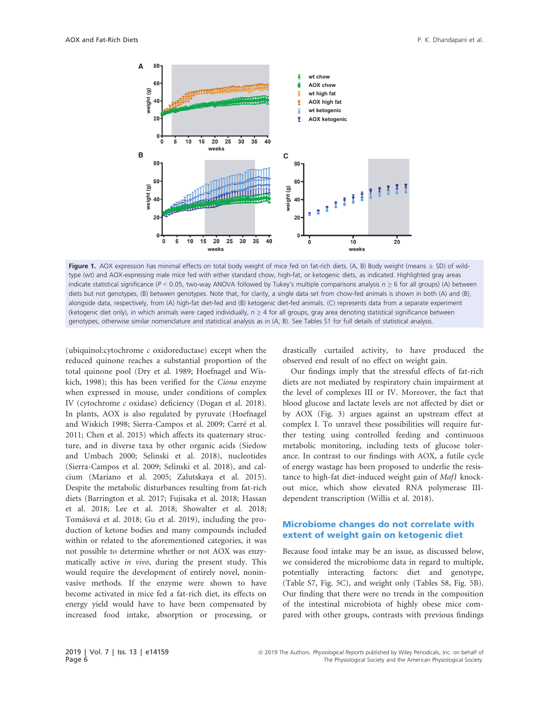

Figure 1. AOX expression has minimal effects on total body weight of mice fed on fat-rich diets. (A, B) Body weight (means  $\pm$  SD) of wildtype (wt) and AOX-expressing male mice fed with either standard chow, high-fat, or ketogenic diets, as indicated. Highlighted gray areas indicate statistical significance ( $P < 0.05$ , two-way ANOVA followed by Tukey's multiple comparisons analysis  $n \geq 6$  for all groups) (A) between diets but not genotypes, (B) between genotypes. Note that, for clarity, a single data set from chow-fed animals is shown in both (A) and (B), alongside data, respectively, from (A) high-fat diet-fed and (B) ketogenic diet-fed animals. (C) represents data from a separate experiment (ketogenic diet only), in which animals were caged individually, n ≥ 4 for all groups, gray area denoting statistical significance between genotypes, otherwise similar nomenclature and statistical analysis as in (A, B). See Tables S1 for full details of statistical analysis.

(ubiquinol: $cytochrome$   $c$  oxidoreductase) except when the reduced quinone reaches a substantial proportion of the total quinone pool (Dry et al. 1989; Hoefnagel and Wiskich, 1998); this has been verified for the Ciona enzyme when expressed in mouse, under conditions of complex IV (cytochrome c oxidase) deficiency (Dogan et al. 2018). In plants, AOX is also regulated by pyruvate (Hoefnagel and Wiskich 1998; Sierra-Campos et al. 2009; Carré et al. 2011; Chen et al. 2015) which affects its quaternary structure, and in diverse taxa by other organic acids (Siedow and Umbach 2000; Selinski et al. 2018), nucleotides (Sierra-Campos et al. 2009; Selinski et al. 2018), and calcium (Mariano et al. 2005; Zalutskaya et al. 2015). Despite the metabolic disturbances resulting from fat-rich diets (Barrington et al. 2017; Fujisaka et al. 2018; Hassan et al. 2018; Lee et al. 2018; Showalter et al. 2018; Tomášová et al. 2018; Gu et al. 2019), including the production of ketone bodies and many compounds included within or related to the aforementioned categories, it was not possible to determine whether or not AOX was enzymatically active in vivo, during the present study. This would require the development of entirely novel, noninvasive methods. If the enzyme were shown to have become activated in mice fed a fat-rich diet, its effects on energy yield would have to have been compensated by increased food intake, absorption or processing, or drastically curtailed activity, to have produced the observed end result of no effect on weight gain.

Our findings imply that the stressful effects of fat-rich diets are not mediated by respiratory chain impairment at the level of complexes III or IV. Moreover, the fact that blood glucose and lactate levels are not affected by diet or by AOX (Fig. 3) argues against an upstream effect at complex I. To unravel these possibilities will require further testing using controlled feeding and continuous metabolic monitoring, including tests of glucose tolerance. In contrast to our findings with AOX, a futile cycle of energy wastage has been proposed to underlie the resistance to high-fat diet-induced weight gain of Maf1 knockout mice, which show elevated RNA polymerase IIIdependent transcription (Willis et al. 2018).

#### Microbiome changes do not correlate with extent of weight gain on ketogenic diet

Because food intake may be an issue, as discussed below, we considered the microbiome data in regard to multiple, potentially interacting factors: diet and genotype, (Table S7, Fig. 5C), and weight only (Tables S8, Fig. 5B). Our finding that there were no trends in the composition of the intestinal microbiota of highly obese mice compared with other groups, contrasts with previous findings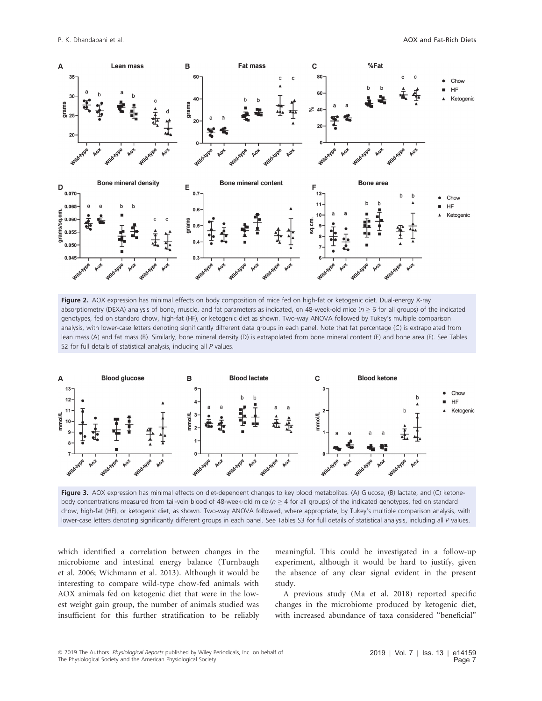

Figure 2. AOX expression has minimal effects on body composition of mice fed on high-fat or ketogenic diet. Dual-energy X-ray absorptiometry (DEXA) analysis of bone, muscle, and fat parameters as indicated, on 48-week-old mice ( $n \ge 6$  for all groups) of the indicated genotypes, fed on standard chow, high-fat (HF), or ketogenic diet as shown. Two-way ANOVA followed by Tukey's multiple comparison analysis, with lower-case letters denoting significantly different data groups in each panel. Note that fat percentage (C) is extrapolated from lean mass (A) and fat mass (B). Similarly, bone mineral density (D) is extrapolated from bone mineral content (E) and bone area (F). See Tables S2 for full details of statistical analysis, including all P values.



Figure 3. AOX expression has minimal effects on diet-dependent changes to key blood metabolites. (A) Glucose, (B) lactate, and (C) ketonebody concentrations measured from tail-vein blood of 48-week-old mice (n <sup>≥</sup> 4 for all groups) of the indicated genotypes, fed on standard chow, high-fat (HF), or ketogenic diet, as shown. Two-way ANOVA followed, where appropriate, by Tukey's multiple comparison analysis, with lower-case letters denoting significantly different groups in each panel. See Tables S3 for full details of statistical analysis, including all P values.

which identified a correlation between changes in the microbiome and intestinal energy balance (Turnbaugh et al. 2006; Wichmann et al. 2013). Although it would be interesting to compare wild-type chow-fed animals with AOX animals fed on ketogenic diet that were in the lowest weight gain group, the number of animals studied was insufficient for this further stratification to be reliably meaningful. This could be investigated in a follow-up experiment, although it would be hard to justify, given the absence of any clear signal evident in the present study.

A previous study (Ma et al. 2018) reported specific changes in the microbiome produced by ketogenic diet, with increased abundance of taxa considered "beneficial"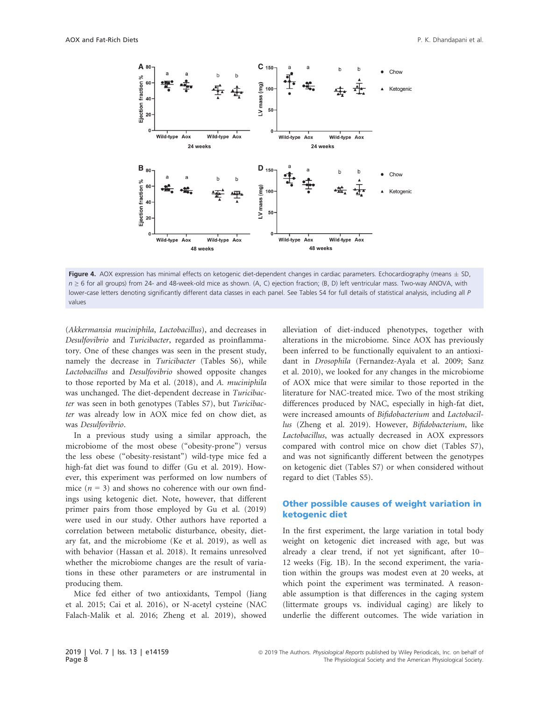

Figure 4. AOX expression has minimal effects on ketogenic diet-dependent changes in cardiac parameters. Echocardiography (means  $\pm$  SD, n <sup>≥</sup> 6 for all groups) from 24- and 48-week-old mice as shown. (A, C) ejection fraction; (B, D) left ventricular mass. Two-way ANOVA, with lower-case letters denoting significantly different data classes in each panel. See Tables S4 for full details of statistical analysis, including all P values

(Akkermansia muciniphila, Lactobacillus), and decreases in Desulfovibrio and Turicibacter, regarded as proinflammatory. One of these changes was seen in the present study, namely the decrease in Turicibacter (Tables S6), while Lactobacillus and Desulfovibrio showed opposite changes to those reported by Ma et al. (2018), and A. muciniphila was unchanged. The diet-dependent decrease in Turicibacter was seen in both genotypes (Tables S7), but Turicibacter was already low in AOX mice fed on chow diet, as was Desulfovibrio.

In a previous study using a similar approach, the microbiome of the most obese ("obesity-prone") versus the less obese ("obesity-resistant") wild-type mice fed a high-fat diet was found to differ (Gu et al. 2019). However, this experiment was performed on low numbers of mice  $(n = 3)$  and shows no coherence with our own findings using ketogenic diet. Note, however, that different primer pairs from those employed by Gu et al. (2019) were used in our study. Other authors have reported a correlation between metabolic disturbance, obesity, dietary fat, and the microbiome (Ke et al. 2019), as well as with behavior (Hassan et al. 2018). It remains unresolved whether the microbiome changes are the result of variations in these other parameters or are instrumental in producing them.

Mice fed either of two antioxidants, Tempol (Jiang et al. 2015; Cai et al. 2016), or N-acetyl cysteine (NAC Falach-Malik et al. 2016; Zheng et al. 2019), showed alleviation of diet-induced phenotypes, together with alterations in the microbiome. Since AOX has previously been inferred to be functionally equivalent to an antioxidant in Drosophila (Fernandez-Ayala et al. 2009; Sanz et al. 2010), we looked for any changes in the microbiome of AOX mice that were similar to those reported in the literature for NAC-treated mice. Two of the most striking differences produced by NAC, especially in high-fat diet, were increased amounts of Bifidobacterium and Lactobacillus (Zheng et al. 2019). However, Bifidobacterium, like Lactobacillus, was actually decreased in AOX expressors compared with control mice on chow diet (Tables S7), and was not significantly different between the genotypes on ketogenic diet (Tables S7) or when considered without regard to diet (Tables S5).

#### Other possible causes of weight variation in ketogenic diet

In the first experiment, the large variation in total body weight on ketogenic diet increased with age, but was already a clear trend, if not yet significant, after 10– 12 weeks (Fig. 1B). In the second experiment, the variation within the groups was modest even at 20 weeks, at which point the experiment was terminated. A reasonable assumption is that differences in the caging system (littermate groups vs. individual caging) are likely to underlie the different outcomes. The wide variation in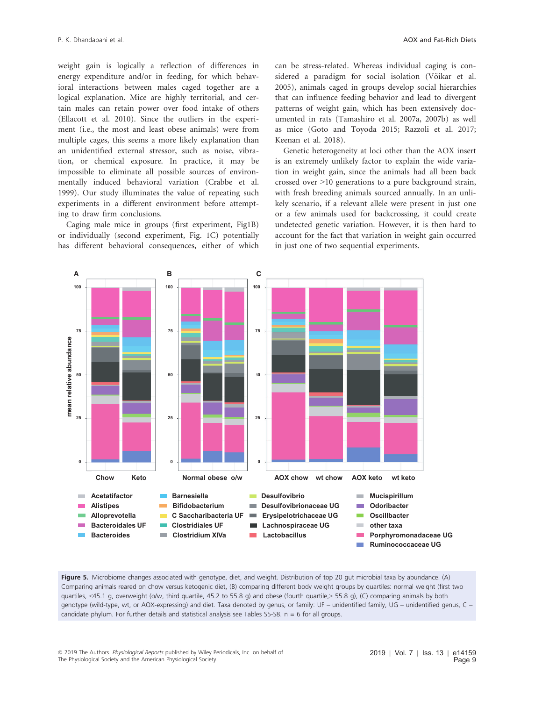weight gain is logically a reflection of differences in energy expenditure and/or in feeding, for which behavioral interactions between males caged together are a logical explanation. Mice are highly territorial, and certain males can retain power over food intake of others (Ellacott et al. 2010). Since the outliers in the experiment (i.e., the most and least obese animals) were from multiple cages, this seems a more likely explanation than an unidentified external stressor, such as noise, vibration, or chemical exposure. In practice, it may be impossible to eliminate all possible sources of environmentally induced behavioral variation (Crabbe et al. 1999). Our study illuminates the value of repeating such experiments in a different environment before attempting to draw firm conclusions.

Caging male mice in groups (first experiment, Fig1B) or individually (second experiment, Fig. 1C) potentially has different behavioral consequences, either of which can be stress-related. Whereas individual caging is considered a paradigm for social isolation (Võikar et al. 2005), animals caged in groups develop social hierarchies that can influence feeding behavior and lead to divergent patterns of weight gain, which has been extensively documented in rats (Tamashiro et al. 2007a, 2007b) as well as mice (Goto and Toyoda 2015; Razzoli et al. 2017; Keenan et al. 2018).

Genetic heterogeneity at loci other than the AOX insert is an extremely unlikely factor to explain the wide variation in weight gain, since the animals had all been back crossed over >10 generations to a pure background strain, with fresh breeding animals sourced annually. In an unlikely scenario, if a relevant allele were present in just one or a few animals used for backcrossing, it could create undetected genetic variation. However, it is then hard to account for the fact that variation in weight gain occurred in just one of two sequential experiments.



Figure 5. Microbiome changes associated with genotype, diet, and weight. Distribution of top 20 gut microbial taxa by abundance. (A) Comparing animals reared on chow versus ketogenic diet, (B) comparing different body weight groups by quartiles: normal weight (first two quartiles, <45.1 g, overweight (o/w, third quartile, 45.2 to 55.8 g) and obese (fourth quartile,> 55.8 g), (C) comparing animals by both genotype (wild-type, wt, or AOX-expressing) and diet. Taxa denoted by genus, or family: UF – unidentified family, UG – unidentified genus, C – candidate phylum. For further details and statistical analysis see Tables S5-S8.  $n = 6$  for all groups.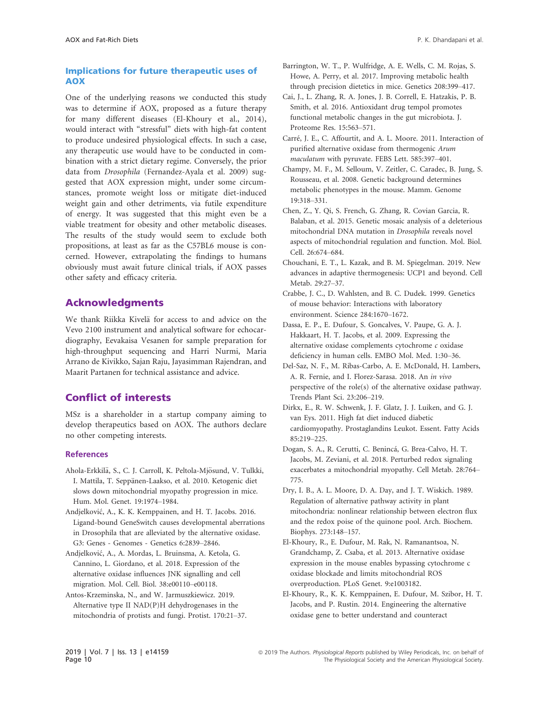#### Implications for future therapeutic uses of AOX

One of the underlying reasons we conducted this study was to determine if AOX, proposed as a future therapy for many different diseases (El-Khoury et al., 2014), would interact with "stressful" diets with high-fat content to produce undesired physiological effects. In such a case, any therapeutic use would have to be conducted in combination with a strict dietary regime. Conversely, the prior data from Drosophila (Fernandez-Ayala et al. 2009) suggested that AOX expression might, under some circumstances, promote weight loss or mitigate diet-induced weight gain and other detriments, via futile expenditure of energy. It was suggested that this might even be a viable treatment for obesity and other metabolic diseases. The results of the study would seem to exclude both propositions, at least as far as the C57BL6 mouse is concerned. However, extrapolating the findings to humans obviously must await future clinical trials, if AOX passes other safety and efficacy criteria.

#### Acknowledgments

We thank Riikka Kivelä for access to and advice on the Vevo 2100 instrument and analytical software for echocardiography, Eevakaisa Vesanen for sample preparation for high-throughput sequencing and Harri Nurmi, Maria Arrano de Kivikko, Sajan Raju, Jayasimman Rajendran, and Maarit Partanen for technical assistance and advice.

## Conflict of interests

MSz is a shareholder in a startup company aiming to develop therapeutics based on AOX. The authors declare no other competing interests.

#### **References**

- Ahola-Erkkilä, S., C. J. Carroll, K. Peltola-Mjösund, V. Tulkki, I. Mattila, T. Seppänen-Laakso, et al. 2010. Ketogenic diet slows down mitochondrial myopathy progression in mice. Hum. Mol. Genet. 19:1974–1984.
- Andjelkovic, A., K. K. Kemppainen, and H. T. Jacobs. 2016. Ligand-bound GeneSwitch causes developmental aberrations in Drosophila that are alleviated by the alternative oxidase. G3: Genes - Genomes - Genetics 6:2839–2846.
- Andjelkovic, A., A. Mordas, L. Bruinsma, A. Ketola, G. Cannino, L. Giordano, et al. 2018. Expression of the alternative oxidase influences JNK signalling and cell migration. Mol. Cell. Biol. 38:e00110–e00118.
- Antos-Krzeminska, N., and W. Jarmuszkiewicz. 2019. Alternative type II NAD(P)H dehydrogenases in the mitochondria of protists and fungi. Protist. 170:21–37.
- Barrington, W. T., P. Wulfridge, A. E. Wells, C. M. Rojas, S. Howe, A. Perry, et al. 2017. Improving metabolic health through precision dietetics in mice. Genetics 208:399–417.
- Cai, J., L. Zhang, R. A. Jones, J. B. Correll, E. Hatzakis, P. B. Smith, et al. 2016. Antioxidant drug tempol promotes functional metabolic changes in the gut microbiota. J. Proteome Res. 15:563–571.
- Carre, J. E., C. Affourtit, and A. L. Moore. 2011. Interaction of purified alternative oxidase from thermogenic Arum maculatum with pyruvate. FEBS Lett. 585:397–401.
- Champy, M. F., M. Selloum, V. Zeitler, C. Caradec, B. Jung, S. Rousseau, et al. 2008. Genetic background determines metabolic phenotypes in the mouse. Mamm. Genome 19:318–331.
- Chen, Z., Y. Qi, S. French, G. Zhang, R. Covian Garcia, R. Balaban, et al. 2015. Genetic mosaic analysis of a deleterious mitochondrial DNA mutation in Drosophila reveals novel aspects of mitochondrial regulation and function. Mol. Biol. Cell. 26:674–684.
- Chouchani, E. T., L. Kazak, and B. M. Spiegelman. 2019. New advances in adaptive thermogenesis: UCP1 and beyond. Cell Metab. 29:27–37.
- Crabbe, J. C., D. Wahlsten, and B. C. Dudek. 1999. Genetics of mouse behavior: Interactions with laboratory environment. Science 284:1670–1672.
- Dassa, E. P., E. Dufour, S. Goncalves, V. Paupe, G. A. J. Hakkaart, H. T. Jacobs, et al. 2009. Expressing the alternative oxidase complements cytochrome c oxidase deficiency in human cells. EMBO Mol. Med. 1:30–36.
- Del-Saz, N. F., M. Ribas-Carbo, A. E. McDonald, H. Lambers, A. R. Fernie, and I. Florez-Sarasa. 2018. An in vivo perspective of the role(s) of the alternative oxidase pathway. Trends Plant Sci. 23:206–219.
- Dirkx, E., R. W. Schwenk, J. F. Glatz, J. J. Luiken, and G. J. van Eys. 2011. High fat diet induced diabetic cardiomyopathy. Prostaglandins Leukot. Essent. Fatty Acids 85:219–225.
- Dogan, S. A., R. Cerutti, C. Beninca, G. Brea-Calvo, H. T. Jacobs, M. Zeviani, et al. 2018. Perturbed redox signaling exacerbates a mitochondrial myopathy. Cell Metab. 28:764– 775.
- Dry, I. B., A. L. Moore, D. A. Day, and J. T. Wiskich. 1989. Regulation of alternative pathway activity in plant mitochondria: nonlinear relationship between electron flux and the redox poise of the quinone pool. Arch. Biochem. Biophys. 273:148–157.
- El-Khoury, R., E. Dufour, M. Rak, N. Ramanantsoa, N. Grandchamp, Z. Csaba, et al. 2013. Alternative oxidase expression in the mouse enables bypassing cytochrome c oxidase blockade and limits mitochondrial ROS overproduction. PLoS Genet. 9:e1003182.
- El-Khoury, R., K. K. Kemppainen, E. Dufour, M. Szibor, H. T. Jacobs, and P. Rustin. 2014. Engineering the alternative oxidase gene to better understand and counteract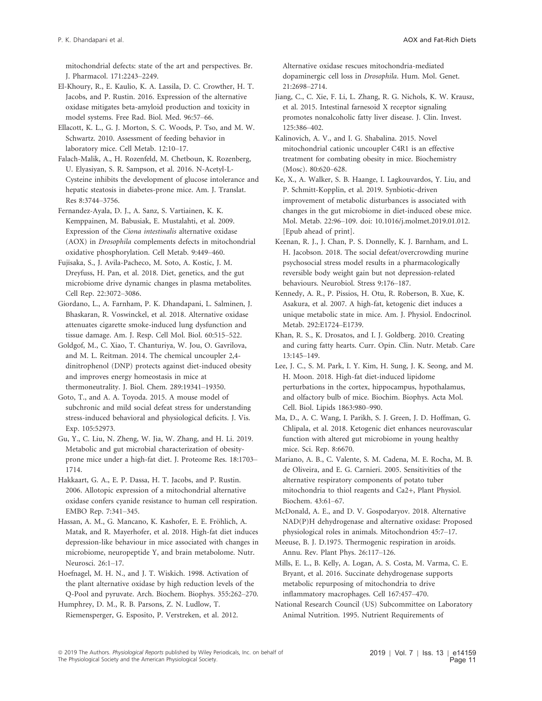mitochondrial defects: state of the art and perspectives. Br. J. Pharmacol. 171:2243–2249.

El-Khoury, R., E. Kaulio, K. A. Lassila, D. C. Crowther, H. T. Jacobs, and P. Rustin. 2016. Expression of the alternative oxidase mitigates beta-amyloid production and toxicity in model systems. Free Rad. Biol. Med. 96:57–66.

Ellacott, K. L., G. J. Morton, S. C. Woods, P. Tso, and M. W. Schwartz. 2010. Assessment of feeding behavior in laboratory mice. Cell Metab. 12:10–17.

Falach-Malik, A., H. Rozenfeld, M. Chetboun, K. Rozenberg, U. Elyasiyan, S. R. Sampson, et al. 2016. N-Acetyl-L-Cysteine inhibits the development of glucose intolerance and hepatic steatosis in diabetes-prone mice. Am. J. Translat. Res 8:3744–3756.

Fernandez-Ayala, D. J., A. Sanz, S. Vartiainen, K. K. Kemppainen, M. Babusiak, E. Mustalahti, et al. 2009. Expression of the Ciona intestinalis alternative oxidase (AOX) in Drosophila complements defects in mitochondrial oxidative phosphorylation. Cell Metab. 9:449–460.

Fujisaka, S., J. Avila-Pacheco, M. Soto, A. Kostic, J. M. Dreyfuss, H. Pan, et al. 2018. Diet, genetics, and the gut microbiome drive dynamic changes in plasma metabolites. Cell Rep. 22:3072–3086.

Giordano, L., A. Farnham, P. K. Dhandapani, L. Salminen, J. Bhaskaran, R. Voswinckel, et al. 2018. Alternative oxidase attenuates cigarette smoke-induced lung dysfunction and tissue damage. Am. J. Resp. Cell Mol. Biol. 60:515–522.

Goldgof, M., C. Xiao, T. Chanturiya, W. Jou, O. Gavrilova, and M. L. Reitman. 2014. The chemical uncoupler 2,4 dinitrophenol (DNP) protects against diet-induced obesity and improves energy homeostasis in mice at thermoneutrality. J. Biol. Chem. 289:19341–19350.

Goto, T., and A. A. Toyoda. 2015. A mouse model of subchronic and mild social defeat stress for understanding stress-induced behavioral and physiological deficits. J. Vis. Exp. 105:52973.

Gu, Y., C. Liu, N. Zheng, W. Jia, W. Zhang, and H. Li. 2019. Metabolic and gut microbial characterization of obesityprone mice under a high-fat diet. J. Proteome Res. 18:1703– 1714.

Hakkaart, G. A., E. P. Dassa, H. T. Jacobs, and P. Rustin. 2006. Allotopic expression of a mitochondrial alternative oxidase confers cyanide resistance to human cell respiration. EMBO Rep. 7:341–345.

Hassan, A. M., G. Mancano, K. Kashofer, E. E. Fröhlich, A. Matak, and R. Mayerhofer, et al. 2018. High-fat diet induces depression-like behaviour in mice associated with changes in microbiome, neuropeptide Y, and brain metabolome. Nutr. Neurosci. 26:1–17.

Hoefnagel, M. H. N., and J. T. Wiskich. 1998. Activation of the plant alternative oxidase by high reduction levels of the Q-Pool and pyruvate. Arch. Biochem. Biophys. 355:262–270.

Humphrey, D. M., R. B. Parsons, Z. N. Ludlow, T. Riemensperger, G. Esposito, P. Verstreken, et al. 2012. Alternative oxidase rescues mitochondria-mediated dopaminergic cell loss in Drosophila. Hum. Mol. Genet. 21:2698–2714.

Jiang, C., C. Xie, F. Li, L. Zhang, R. G. Nichols, K. W. Krausz, et al. 2015. Intestinal farnesoid X receptor signaling promotes nonalcoholic fatty liver disease. J. Clin. Invest. 125:386–402.

Kalinovich, A. V., and I. G. Shabalina. 2015. Novel mitochondrial cationic uncoupler C4R1 is an effective treatment for combating obesity in mice. Biochemistry (Mosc). 80:620–628.

Ke, X., A. Walker, S. B. Haange, I. Lagkouvardos, Y. Liu, and P. Schmitt-Kopplin, et al. 2019. Synbiotic-driven improvement of metabolic disturbances is associated with changes in the gut microbiome in diet-induced obese mice. Mol. Metab. 22:96–109. doi: 10.1016/j.molmet.2019.01.012. [Epub ahead of print].

Keenan, R. J., J. Chan, P. S. Donnelly, K. J. Barnham, and L. H. Jacobson. 2018. The social defeat/overcrowding murine psychosocial stress model results in a pharmacologically reversible body weight gain but not depression-related behaviours. Neurobiol. Stress 9:176–187.

Kennedy, A. R., P. Pissios, H. Otu, R. Roberson, B. Xue, K. Asakura, et al. 2007. A high-fat, ketogenic diet induces a unique metabolic state in mice. Am. J. Physiol. Endocrinol. Metab. 292:E1724–E1739.

Khan, R. S., K. Drosatos, and I. J. Goldberg. 2010. Creating and curing fatty hearts. Curr. Opin. Clin. Nutr. Metab. Care 13:145–149.

Lee, J. C., S. M. Park, I. Y. Kim, H. Sung, J. K. Seong, and M. H. Moon. 2018. High-fat diet-induced lipidome perturbations in the cortex, hippocampus, hypothalamus, and olfactory bulb of mice. Biochim. Biophys. Acta Mol. Cell. Biol. Lipids 1863:980–990.

Ma, D., A. C. Wang, I. Parikh, S. J. Green, J. D. Hoffman, G. Chlipala, et al. 2018. Ketogenic diet enhances neurovascular function with altered gut microbiome in young healthy mice. Sci. Rep. 8:6670.

Mariano, A. B., C. Valente, S. M. Cadena, M. E. Rocha, M. B. de Oliveira, and E. G. Carnieri. 2005. Sensitivities of the alternative respiratory components of potato tuber mitochondria to thiol reagents and Ca2+, Plant Physiol. Biochem. 43:61–67.

McDonald, A. E., and D. V. Gospodaryov. 2018. Alternative NAD(P)H dehydrogenase and alternative oxidase: Proposed physiological roles in animals. Mitochondrion 45:7–17.

Meeuse, B. J. D.1975. Thermogenic respiration in aroids. Annu. Rev. Plant Phys. 26:117–126.

Mills, E. L., B. Kelly, A. Logan, A. S. Costa, M. Varma, C. E. Bryant, et al. 2016. Succinate dehydrogenase supports metabolic repurposing of mitochondria to drive inflammatory macrophages. Cell 167:457–470.

National Research Council (US) Subcommittee on Laboratory Animal Nutrition. 1995. Nutrient Requirements of

<sup>ª</sup> 2019 The Authors. Physiological Reports published by Wiley Periodicals, Inc. on behalf of The Physiological Society and the American Physiological Society.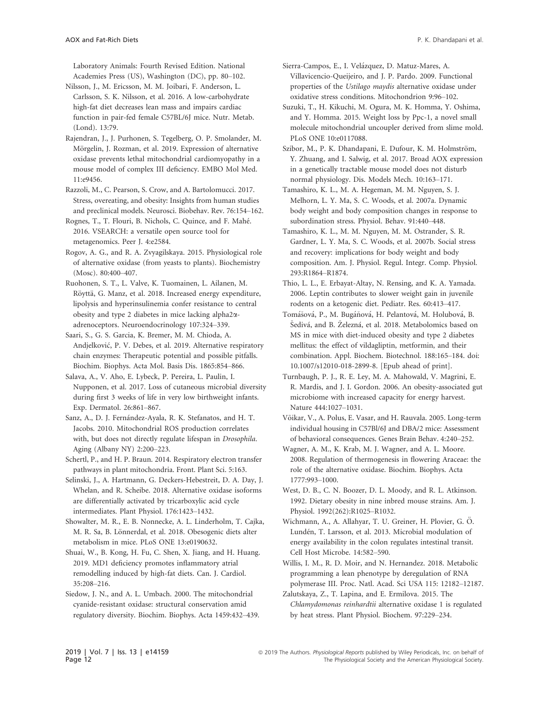Laboratory Animals: Fourth Revised Edition. National Academies Press (US), Washington (DC), pp. 80–102.

- Nilsson, J., M. Ericsson, M. M. Joibari, F. Anderson, L. Carlsson, S. K. Nilsson, et al. 2016. A low-carbohydrate high-fat diet decreases lean mass and impairs cardiac function in pair-fed female C57BL/6J mice. Nutr. Metab. (Lond). 13:79.
- Rajendran, J., J. Purhonen, S. Tegelberg, O. P. Smolander, M. Mörgelin, J. Rozman, et al. 2019. Expression of alternative oxidase prevents lethal mitochondrial cardiomyopathy in a mouse model of complex III deficiency. EMBO Mol Med. 11:e9456.
- Razzoli, M., C. Pearson, S. Crow, and A. Bartolomucci. 2017. Stress, overeating, and obesity: Insights from human studies and preclinical models. Neurosci. Biobehav. Rev. 76:154–162.
- Rognes, T., T. Flouri, B. Nichols, C. Quince, and F. Mahe. 2016. VSEARCH: a versatile open source tool for metagenomics. Peer J. 4:e2584.
- Rogov, A. G., and R. A. Zvyagilskaya. 2015. Physiological role of alternative oxidase (from yeasts to plants). Biochemistry (Mosc). 80:400–407.
- Ruohonen, S. T., L. Valve, K. Tuomainen, L. Ailanen, M. Röyttä, G. Manz, et al. 2018. Increased energy expenditure, lipolysis and hyperinsulinemia confer resistance to central obesity and type 2 diabetes in mice lacking alpha2aadrenoceptors. Neuroendocrinology 107:324–339.
- Saari, S., G. S. Garcia, K. Bremer, M. M. Chioda, A. Andjelkovic, P. V. Debes, et al. 2019. Alternative respiratory chain enzymes: Therapeutic potential and possible pitfalls. Biochim. Biophys. Acta Mol. Basis Dis. 1865:854–866.
- Salava, A., V. Aho, E. Lybeck, P. Pereira, L. Paulin, I. Nupponen, et al. 2017. Loss of cutaneous microbial diversity during first 3 weeks of life in very low birthweight infants. Exp. Dermatol. 26:861–867.
- Sanz, A., D. J. Fernández-Ayala, R. K. Stefanatos, and H. T. Jacobs. 2010. Mitochondrial ROS production correlates with, but does not directly regulate lifespan in Drosophila. Aging (Albany NY) 2:200–223.
- Schertl, P., and H. P. Braun. 2014. Respiratory electron transfer pathways in plant mitochondria. Front. Plant Sci. 5:163.
- Selinski, J., A. Hartmann, G. Deckers-Hebestreit, D. A. Day, J. Whelan, and R. Scheibe. 2018. Alternative oxidase isoforms are differentially activated by tricarboxylic acid cycle intermediates. Plant Physiol. 176:1423–1432.
- Showalter, M. R., E. B. Nonnecke, A. L. Linderholm, T. Cajka, M. R. Sa, B. Lönnerdal, et al. 2018. Obesogenic diets alter metabolism in mice. PLoS ONE 13:e0190632.
- Shuai, W., B. Kong, H. Fu, C. Shen, X. Jiang, and H. Huang. 2019. MD1 deficiency promotes inflammatory atrial remodelling induced by high-fat diets. Can. J. Cardiol. 35:208–216.
- Siedow, J. N., and A. L. Umbach. 2000. The mitochondrial cyanide-resistant oxidase: structural conservation amid regulatory diversity. Biochim. Biophys. Acta 1459:432–439.
- Sierra-Campos, E., I. Velázquez, D. Matuz-Mares, A. Villavicencio-Queijeiro, and J. P. Pardo. 2009. Functional properties of the Ustilago maydis alternative oxidase under oxidative stress conditions. Mitochondrion 9:96–102.
- Suzuki, T., H. Kikuchi, M. Ogura, M. K. Homma, Y. Oshima, and Y. Homma. 2015. Weight loss by Ppc-1, a novel small molecule mitochondrial uncoupler derived from slime mold. PLoS ONE 10:e0117088.
- Szibor, M., P. K. Dhandapani, E. Dufour, K. M. Holmström, Y. Zhuang, and I. Salwig, et al. 2017. Broad AOX expression in a genetically tractable mouse model does not disturb normal physiology. Dis. Models Mech. 10:163–171.
- Tamashiro, K. L., M. A. Hegeman, M. M. Nguyen, S. J. Melhorn, L. Y. Ma, S. C. Woods, et al. 2007a. Dynamic body weight and body composition changes in response to subordination stress. Physiol. Behav. 91:440–448.
- Tamashiro, K. L., M. M. Nguyen, M. M. Ostrander, S. R. Gardner, L. Y. Ma, S. C. Woods, et al. 2007b. Social stress and recovery: implications for body weight and body composition. Am. J. Physiol. Regul. Integr. Comp. Physiol. 293:R1864–R1874.
- Thio, L. L., E. Erbayat-Altay, N. Rensing, and K. A. Yamada. 2006. Leptin contributes to slower weight gain in juvenile rodents on a ketogenic diet. Pediatr. Res. 60:413–417.
- Tomášová, P., M. Bugáňová, H. Pelantová, M. Holubová, B. Šedivá, and B. Železná, et al. 2018. Metabolomics based on MS in mice with diet-induced obesity and type 2 diabetes mellitus: the effect of vildagliptin, metformin, and their combination. Appl. Biochem. Biotechnol. 188:165–184. doi: 10.1007/s12010-018-2899-8. [Epub ahead of print].
- Turnbaugh, P. J., R. E. Ley, M. A. Mahowald, V. Magrini, E. R. Mardis, and J. I. Gordon. 2006. An obesity-associated gut microbiome with increased capacity for energy harvest. Nature 444:1027–1031.
- Võikar, V., A. Polus, E. Vasar, and H. Rauvala. 2005. Long-term individual housing in C57Bl/6J and DBA/2 mice: Assessment of behavioral consequences. Genes Brain Behav. 4:240–252.
- Wagner, A. M., K. Krab, M. J. Wagner, and A. L. Moore. 2008. Regulation of thermogenesis in flowering Araceae: the role of the alternative oxidase. Biochim. Biophys. Acta 1777:993–1000.
- West, D. B., C. N. Boozer, D. L. Moody, and R. L. Atkinson. 1992. Dietary obesity in nine inbred mouse strains. Am. J. Physiol. 1992(262):R1025–R1032.
- Wichmann, A., A. Allahyar, T. U. Greiner, H. Plovier, G. Ö. Lunden, T. Larsson, et al. 2013. Microbial modulation of energy availability in the colon regulates intestinal transit. Cell Host Microbe. 14:582–590.
- Willis, I. M., R. D. Moir, and N. Hernandez. 2018. Metabolic programming a lean phenotype by deregulation of RNA polymerase III. Proc. Natl. Acad. Sci USA 115: 12182–12187.
- Zalutskaya, Z., T. Lapina, and E. Ermilova. 2015. The Chlamydomonas reinhardtii alternative oxidase 1 is regulated by heat stress. Plant Physiol. Biochem. 97:229–234.